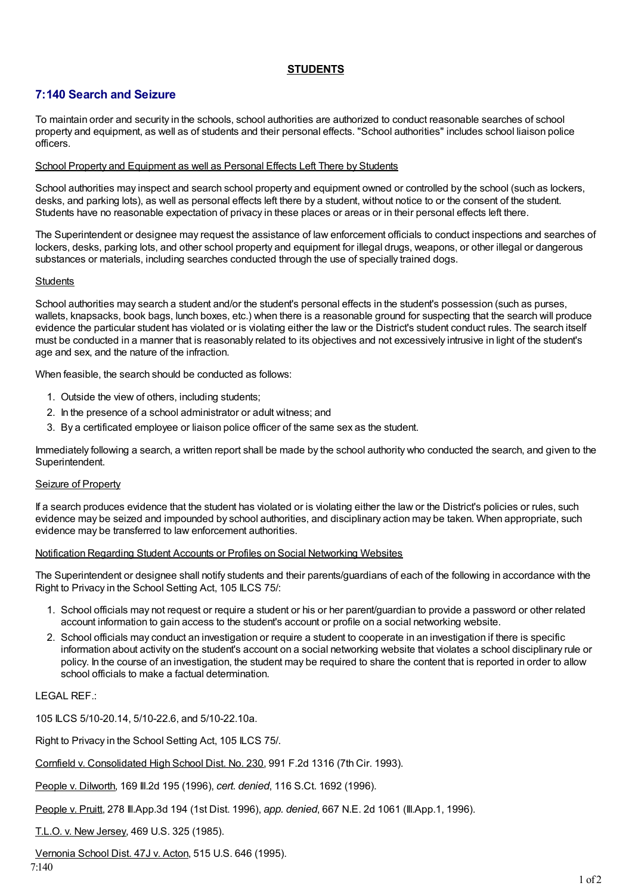# **STUDENTS**

# **7:140 Search and Seizure**

To maintain order and security in the schools, school authorities are authorized to conduct reasonable searches of school property and equipment, as well as of students and their personal effects. "School authorities" includes school liaison police officers.

#### School Property and Equipment as well as Personal Effects Left There by Students

School authorities may inspect and search school property and equipment owned or controlled by the school (such as lockers, desks, and parking lots), as well as personal effects left there by a student, without notice to or the consent of the student. Students have no reasonable expectation of privacy in these places or areas or in their personal effects left there.

The Superintendent or designee may request the assistance of law enforcement officials to conduct inspections and searches of lockers, desks, parking lots, and other school property and equipment for illegal drugs, weapons, or other illegal or dangerous substances or materials, including searches conducted through the use of specially trained dogs.

#### **Students**

School authorities may search a student and/or the student's personal effects in the student's possession (such as purses, wallets, knapsacks, book bags, lunch boxes, etc.) when there is a reasonable ground for suspecting that the search will produce evidence the particular student has violated or is violating either the law or the District's student conduct rules. The search itself must be conducted in a manner that is reasonably related to its objectives and not excessively intrusive in light of the student's age and sex, and the nature of the infraction.

When feasible, the search should be conducted as follows:

- 1. Outside the view of others, including students;
- 2. In the presence of a school administrator or adult witness; and
- 3. By a certificated employee or liaison police officer of the same sex as the student.

Immediately following a search, a written report shall be made by the school authority who conducted the search, and given to the Superintendent.

#### Seizure of Property

If a search produces evidence that the student has violated or is violating either the law or the District's policies or rules, such evidence may be seized and impounded by school authorities, and disciplinary action may be taken. When appropriate, such evidence may be transferred to law enforcement authorities.

## Notification Regarding Student Accounts or Profiles on Social Networking Websites

The Superintendent or designee shall notify students and their parents/guardians of each of the following in accordance with the Right to Privacy in the School Setting Act, 105 ILCS 75/:

- 1. School officials may not request or require a student or his or her parent/guardian to provide a password or other related account information to gain access to the student's account or profile on a social networking website.
- 2. School officials may conduct an investigation or require a student to cooperate in an investigation if there is specific information about activity on the student's account on a social networking website that violates a school disciplinary rule or policy. In the course of an investigation, the student may be required to share the content that is reported in order to allow school officials to make a factual determination.

## LEGAL REF.:

105 ILCS 5/10-20.14, 5/10-22.6, and 5/10-22.10a.

Right to Privacy in the School Setting Act, 105 ILCS 75/.

Cornfield v. Consolidated High School Dist. No. 230, 991 F.2d 1316 (7th Cir. 1993).

People v. Dilworth, 169 Ill.2d 195 (1996), *cert. denied*, 116 S.Ct. 1692 (1996).

People v. Pruitt, 278 Ill.App.3d 194 (1st Dist. 1996), *app. denied*, 667 N.E. 2d 1061 (Ill.App.1, 1996).

T.L.O. v. New Jersey, 469 U.S. 325 (1985).

Vernonia School Dist. 47J v. Acton, 515 U.S. 646 (1995).

7:140